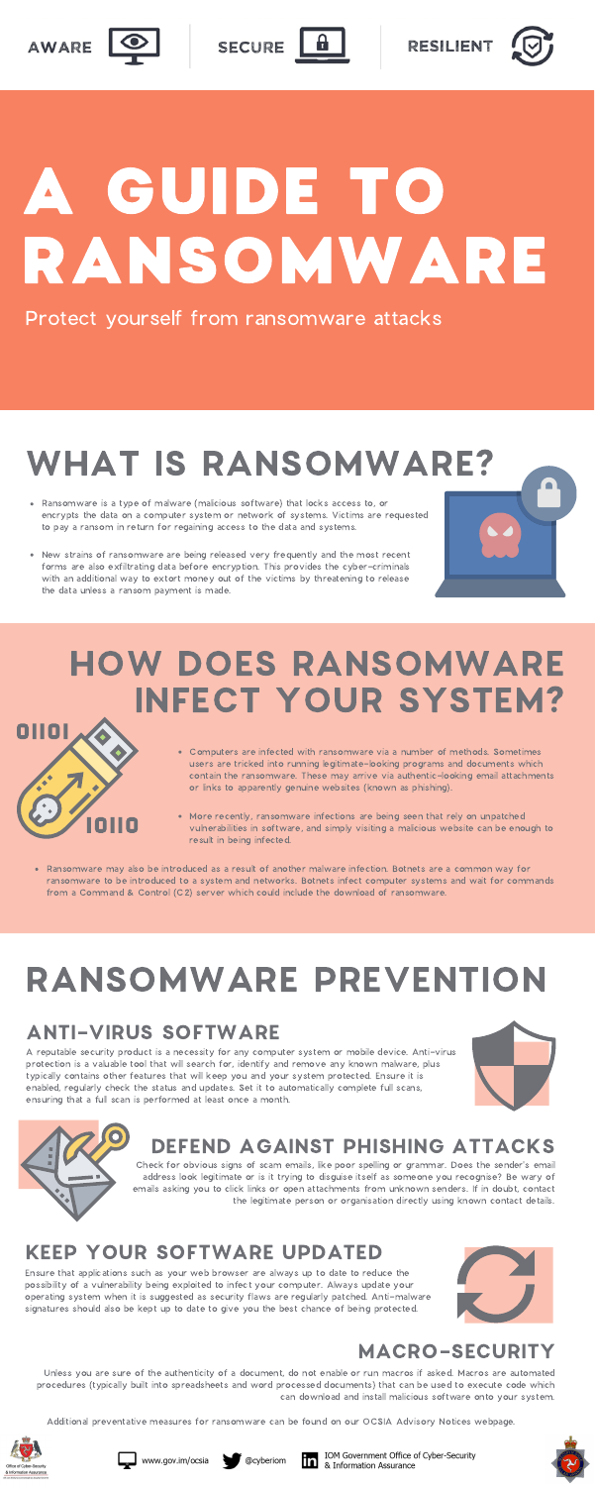





SECURE



### HOW DOES RANSOMWARE INFECT YOUR SYSTEM?



# A GUIDE TO RANSOMWARE

# WHAT IS RANSOMWARE?

#### Protect yourself from ransomware attacks

- Computers are infected with ransomware via a number of methods. Sometimes users are tricked into running legitimate-looking programs and documents which contain the ransomware. These may arrive via authentic-looking email attachments or links to apparently genuine websites (known as phishing).
- More recently, ransomware infections are being seen that rely on unpatched vulnerabilities in software, and simply visiting a malicious website can be enough to result in being infected.
- Ransomware may also be introduced as a result of another malware infection. Botnets are a common way for ransomware to be introduced to a system and networks. Botnets infect computer systems and wait for commands
- Ransomware is a type of malware (malicious software) that locks access to, or encrypts the data on a computer system or network of systems. Victims are requested to pay a ransom in return for regaining access to the data and systems.
- New strains of ransomware are being released very frequently and the most recent forms are also exfiltrating data before encryption. This provides the cyber-criminals with an additional way to extort money out of the victims by threatening to release the data unless a ransom payment is made.



# RANSOMWARE PREVENTION

A reputable security product is a necessity for any computer system or mobile device. Anti-virus protection is a valuable tool that will search for, identify and remove any known malware, plus typically contains other features that will keep you and your system protected. Ensure it is enabled, regularly check the status and updates. Set it to automatically complete full scans, ensuring that a full scan is performed at least once a month.





Check for obvious signs of scam emails, like poor spelling or grammar. Does the sender's email address look legitimate or is it trying to disguise itself as someone you recognise? Be wary of emails asking you to click links or open attachments from unknown senders. If in doubt, contact the legitimate person or organisation directly using known contact details.

Ensure that applications such as your web browser are always up to date to reduce the possibility of a vulnerability being exploited to infect your computer. Always update your operating system when it is suggested as security flaws are regularly patched. Anti-malware signatures should also be kept up to date to give you the best chance of being protected.



Unless you are sure of the authenticity of a document, do not enable or run macros if asked. Macros are automated procedures (typically built into spreadsheets and word processed documents) that can be used to execute code which can download and install malicious software onto your system.

Additional preventative measures for ransomware can be found on our OCSIA Advisory Notices webpage.









IOM Government Office of Cyber-Security & Information Assurance



#### ANTI-VIRUS SOFTWARE

#### DEFEND AGAINST PHISHING ATTACKS

#### KEEP YOUR SOFTWARE UPDATED

#### MACRO-SECURITY